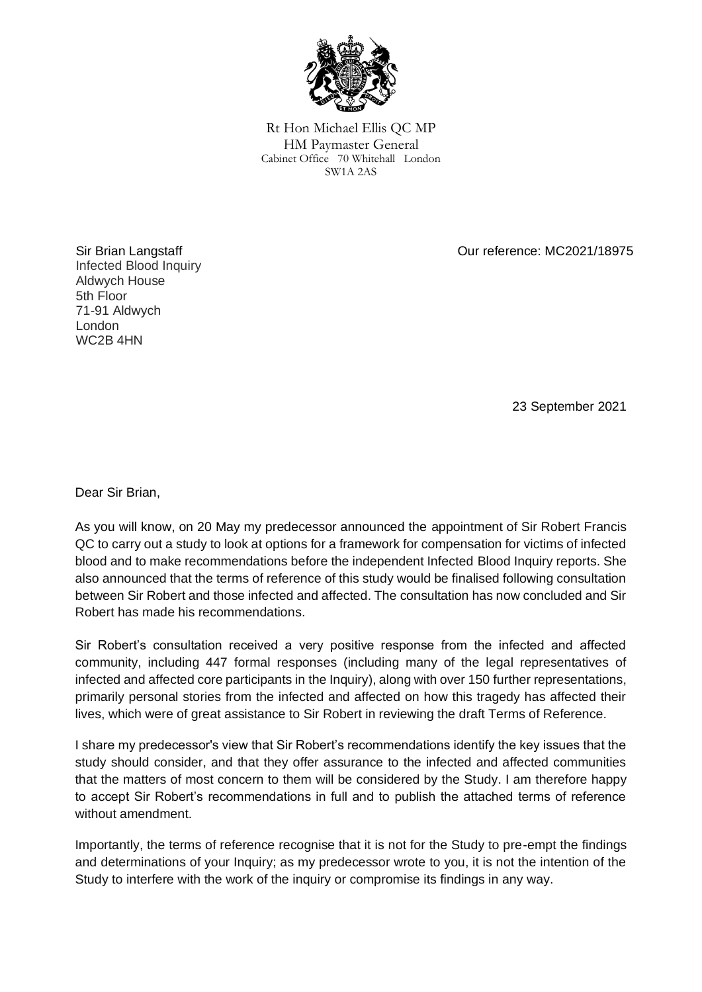

Rt Hon Michael Ellis QC MP HM Paymaster General Cabinet Office 70 Whitehall London SW1A 2AS

Our reference: MC2021/18975

Sir Brian Langstaff Infected Blood Inquiry Aldwych House 5th Floor 71-91 Aldwych London WC2B 4HN

23 September 2021

Dear Sir Brian,

As you will know, on 20 May my predecessor announced the appointment of Sir Robert Francis QC to carry out a study to look at options for a framework for compensation for victims of infected blood and to make recommendations before the independent Infected Blood Inquiry reports. She also announced that the terms of reference of this study would be finalised following consultation between Sir Robert and those infected and affected. The consultation has now concluded and Sir Robert has made his recommendations.

Sir Robert's consultation received a very positive response from the infected and affected community, including 447 formal responses (including many of the legal representatives of infected and affected core participants in the Inquiry), along with over 150 further representations, primarily personal stories from the infected and affected on how this tragedy has affected their lives, which were of great assistance to Sir Robert in reviewing the draft Terms of Reference.

I share my predecessor's view that Sir Robert's recommendations identify the key issues that the study should consider, and that they offer assurance to the infected and affected communities that the matters of most concern to them will be considered by the Study. I am therefore happy to accept Sir Robert's recommendations in full and to publish the attached terms of reference without amendment.

Importantly, the terms of reference recognise that it is not for the Study to pre-empt the findings and determinations of your Inquiry; as my predecessor wrote to you, it is not the intention of the Study to interfere with the work of the inquiry or compromise its findings in any way.